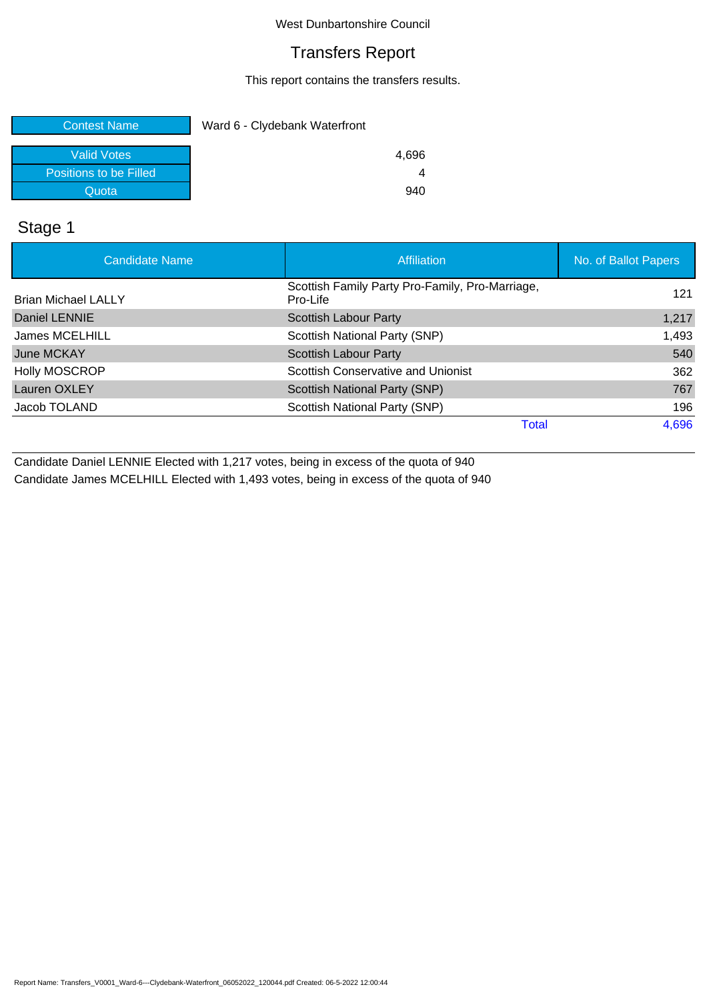## Transfers Report

This report contains the transfers results.

| <b>Contest Name</b>    | Ward 6 - Clydebank Waterfront |
|------------------------|-------------------------------|
| <b>Valid Votes</b>     | 4.696                         |
| Positions to be Filled |                               |
| Quota                  | 940                           |

## Stage 1

| <b>Candidate Name</b>      | Affiliation                                                 | No. of Ballot Papers |
|----------------------------|-------------------------------------------------------------|----------------------|
| <b>Brian Michael LALLY</b> | Scottish Family Party Pro-Family, Pro-Marriage,<br>Pro-Life | 121                  |
| Daniel LENNIE              | <b>Scottish Labour Party</b>                                | 1,217                |
| James MCELHILL             | Scottish National Party (SNP)                               | 1,493                |
| June MCKAY                 | Scottish Labour Party                                       | 540                  |
| <b>Holly MOSCROP</b>       | Scottish Conservative and Unionist                          | 362                  |
| Lauren OXLEY               | Scottish National Party (SNP)                               | 767                  |
| Jacob TOLAND               | Scottish National Party (SNP)                               | 196                  |
|                            | Total                                                       | 4,696                |

Candidate Daniel LENNIE Elected with 1,217 votes, being in excess of the quota of 940 Candidate James MCELHILL Elected with 1,493 votes, being in excess of the quota of 940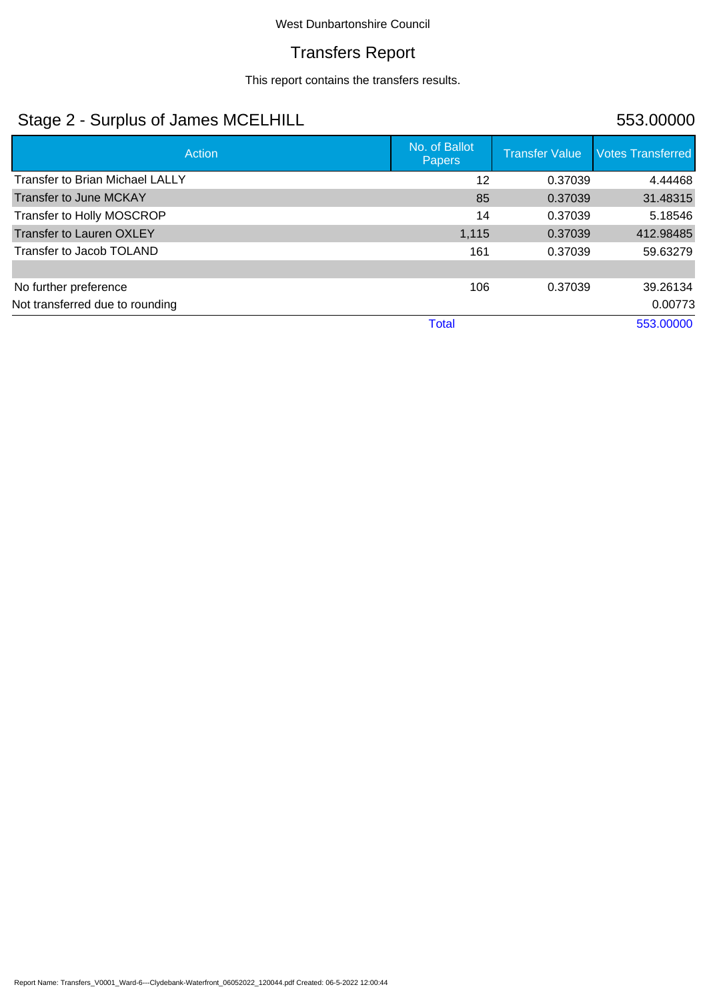## Transfers Report

This report contains the transfers results.

# Stage 2 - Surplus of James MCELHILL 553.00000

| Action                                 | No. of Ballot<br><b>Papers</b> | <b>Transfer Value</b> | <b>Votes Transferred</b> |
|----------------------------------------|--------------------------------|-----------------------|--------------------------|
| <b>Transfer to Brian Michael LALLY</b> | 12                             | 0.37039               | 4.44468                  |
| Transfer to June MCKAY                 | 85                             | 0.37039               | 31.48315                 |
| Transfer to Holly MOSCROP              | 14                             | 0.37039               | 5.18546                  |
| <b>Transfer to Lauren OXLEY</b>        | 1,115                          | 0.37039               | 412.98485                |
| Transfer to Jacob TOLAND               | 161                            | 0.37039               | 59.63279                 |
|                                        |                                |                       |                          |
| No further preference                  | 106                            | 0.37039               | 39.26134                 |
| Not transferred due to rounding        |                                |                       | 0.00773                  |
|                                        | <b>Total</b>                   |                       | 553.00000                |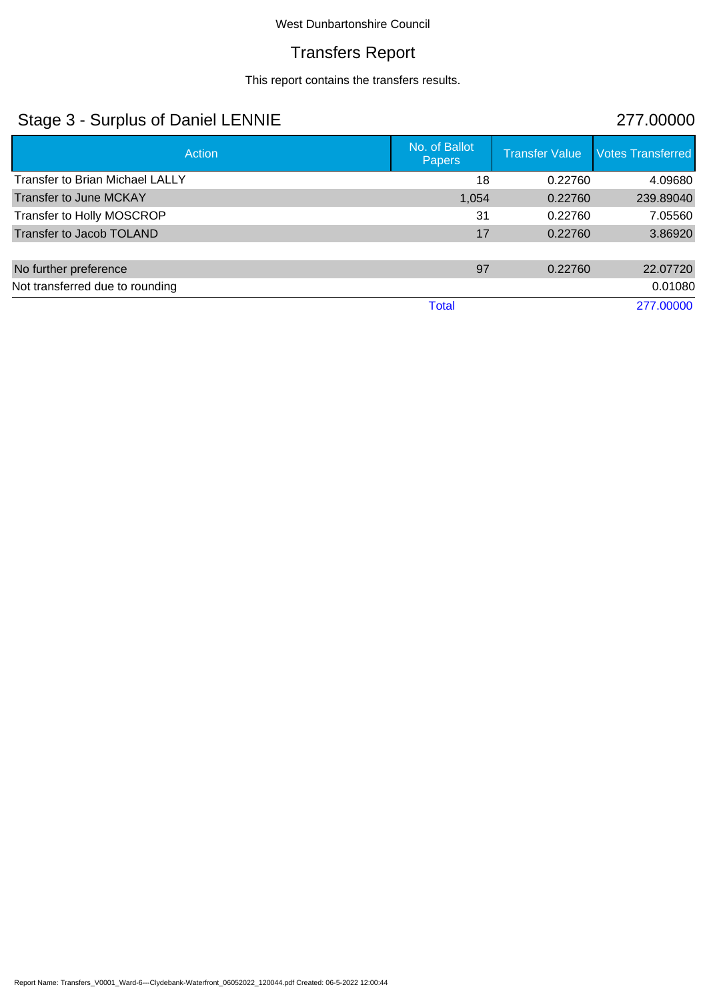# Transfers Report

This report contains the transfers results.

# Stage 3 - Surplus of Daniel LENNIE 277.00000

| Action                                 | No. of Ballot<br><b>Papers</b> | <b>Transfer Value</b> | <b>Votes Transferred</b> |
|----------------------------------------|--------------------------------|-----------------------|--------------------------|
| <b>Transfer to Brian Michael LALLY</b> | 18                             | 0.22760               | 4.09680                  |
| Transfer to June MCKAY                 | 1,054                          | 0.22760               | 239.89040                |
| Transfer to Holly MOSCROP              | 31                             | 0.22760               | 7.05560                  |
| Transfer to Jacob TOLAND               | 17                             | 0.22760               | 3.86920                  |
|                                        |                                |                       |                          |
| No further preference                  | 97                             | 0.22760               | 22.07720                 |
| Not transferred due to rounding        |                                |                       | 0.01080                  |
|                                        | Total                          |                       | 277.00000                |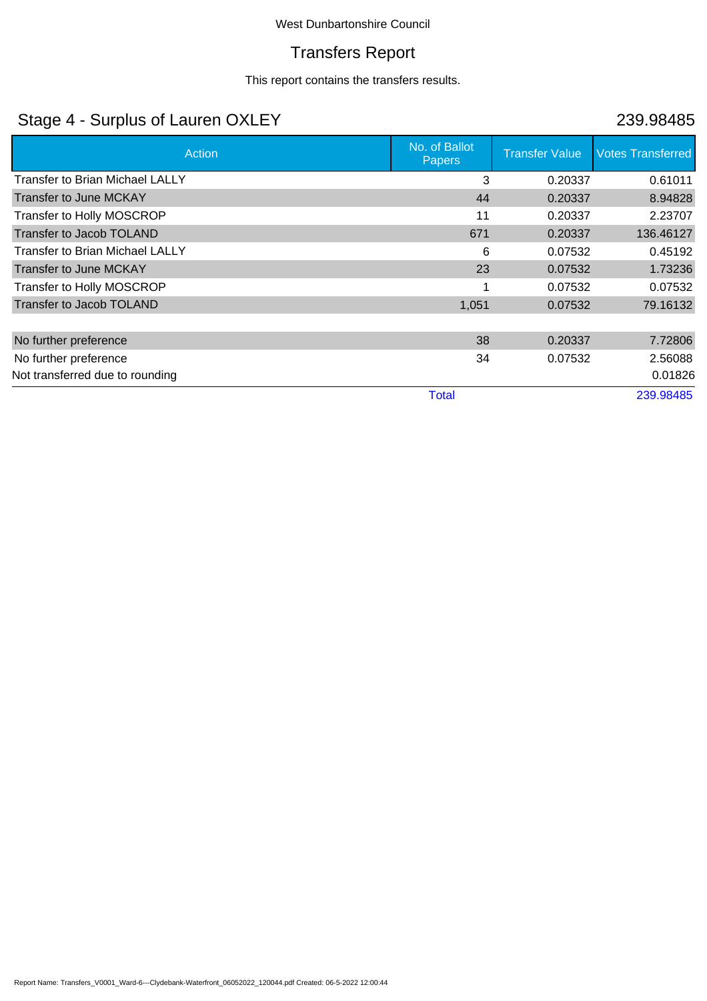## Transfers Report

This report contains the transfers results.

# Stage 4 - Surplus of Lauren OXLEY 239.98485

| Action                                 | No. of Ballot<br><b>Papers</b> | <b>Transfer Value</b> | <b>Votes Transferred</b> |
|----------------------------------------|--------------------------------|-----------------------|--------------------------|
| <b>Transfer to Brian Michael LALLY</b> | 3                              | 0.20337               | 0.61011                  |
| <b>Transfer to June MCKAY</b>          | 44                             | 0.20337               | 8.94828                  |
| Transfer to Holly MOSCROP              | 11                             | 0.20337               | 2.23707                  |
| Transfer to Jacob TOLAND               | 671                            | 0.20337               | 136.46127                |
| <b>Transfer to Brian Michael LALLY</b> | 6                              | 0.07532               | 0.45192                  |
| Transfer to June MCKAY                 | 23                             | 0.07532               | 1.73236                  |
| Transfer to Holly MOSCROP              |                                | 0.07532               | 0.07532                  |
| Transfer to Jacob TOLAND               | 1,051                          | 0.07532               | 79.16132                 |
|                                        |                                |                       |                          |
| No further preference                  | 38                             | 0.20337               | 7.72806                  |
| No further preference                  | 34                             | 0.07532               | 2.56088                  |
| Not transferred due to rounding        |                                |                       | 0.01826                  |
|                                        | <b>Total</b>                   |                       | 239.98485                |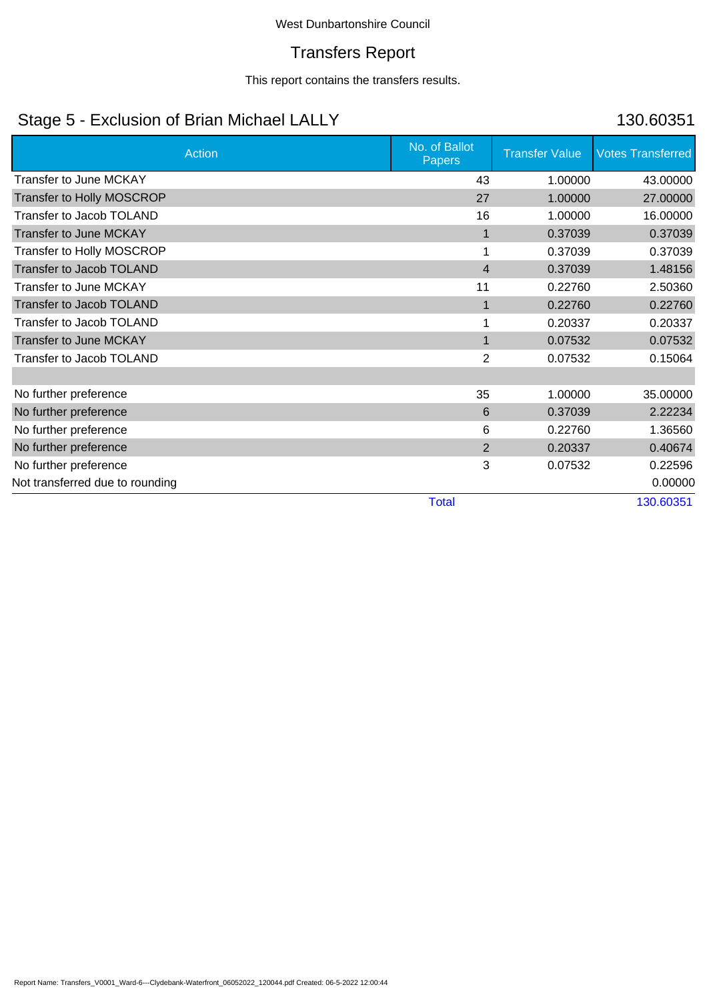## Transfers Report

This report contains the transfers results.

# Stage 5 - Exclusion of Brian Michael LALLY 130.60351

| <b>Action</b>                    | No. of Ballot<br><b>Papers</b> | <b>Transfer Value</b> | <b>Votes Transferred</b> |
|----------------------------------|--------------------------------|-----------------------|--------------------------|
| <b>Transfer to June MCKAY</b>    | 43                             | 1.00000               | 43.00000                 |
| <b>Transfer to Holly MOSCROP</b> | 27                             | 1.00000               | 27.00000                 |
| Transfer to Jacob TOLAND         | 16                             | 1.00000               | 16.00000                 |
| <b>Transfer to June MCKAY</b>    | $\mathbf 1$                    | 0.37039               | 0.37039                  |
| <b>Transfer to Holly MOSCROP</b> | 1                              | 0.37039               | 0.37039                  |
| Transfer to Jacob TOLAND         | $\overline{4}$                 | 0.37039               | 1.48156                  |
| <b>Transfer to June MCKAY</b>    | 11                             | 0.22760               | 2.50360                  |
| Transfer to Jacob TOLAND         | $\mathbf 1$                    | 0.22760               | 0.22760                  |
| Transfer to Jacob TOLAND         |                                | 0.20337               | 0.20337                  |
| <b>Transfer to June MCKAY</b>    | 1                              | 0.07532               | 0.07532                  |
| Transfer to Jacob TOLAND         | $\overline{2}$                 | 0.07532               | 0.15064                  |
|                                  |                                |                       |                          |
| No further preference            | 35                             | 1.00000               | 35.00000                 |
| No further preference            | 6                              | 0.37039               | 2.22234                  |
| No further preference            | 6                              | 0.22760               | 1.36560                  |
| No further preference            | 2                              | 0.20337               | 0.40674                  |
| No further preference            | 3                              | 0.07532               | 0.22596                  |
| Not transferred due to rounding  |                                |                       | 0.00000                  |
|                                  | <b>Total</b>                   |                       | 130.60351                |